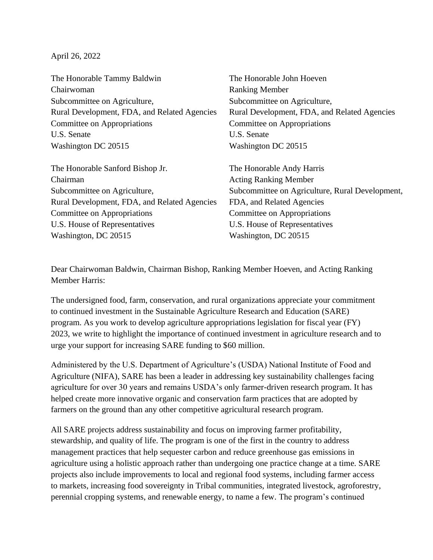April 26, 2022

| The Honorable Tammy Baldwin                  | The Honorable John Hoeven                       |
|----------------------------------------------|-------------------------------------------------|
| Chairwoman                                   | <b>Ranking Member</b>                           |
| Subcommittee on Agriculture,                 | Subcommittee on Agriculture,                    |
| Rural Development, FDA, and Related Agencies | Rural Development, FDA, and Related Agencies    |
| Committee on Appropriations                  | Committee on Appropriations                     |
| U.S. Senate                                  | U.S. Senate                                     |
| Washington DC 20515                          | Washington DC 20515                             |
| The Honorable Sanford Bishop Jr.             | The Honorable Andy Harris                       |
| Chairman                                     | <b>Acting Ranking Member</b>                    |
| Subcommittee on Agriculture,                 | Subcommittee on Agriculture, Rural Development, |
| Rural Development, FDA, and Related Agencies | FDA, and Related Agencies                       |
| Committee on Appropriations                  | Committee on Appropriations                     |
| U.S. House of Representatives                | U.S. House of Representatives                   |
| Washington, DC 20515                         | Washington, DC 20515                            |

Dear Chairwoman Baldwin, Chairman Bishop, Ranking Member Hoeven, and Acting Ranking Member Harris:

The undersigned food, farm, conservation, and rural organizations appreciate your commitment to continued investment in the Sustainable Agriculture Research and Education (SARE) program. As you work to develop agriculture appropriations legislation for fiscal year (FY) 2023, we write to highlight the importance of continued investment in agriculture research and to urge your support for increasing SARE funding to \$60 million.

Administered by the U.S. Department of Agriculture's (USDA) National Institute of Food and Agriculture (NIFA), SARE has been a leader in addressing key sustainability challenges facing agriculture for over 30 years and remains USDA's only farmer-driven research program. It has helped create more innovative organic and conservation farm practices that are adopted by farmers on the ground than any other competitive agricultural research program.

All SARE projects address sustainability and focus on improving farmer profitability, stewardship, and quality of life. The program is one of the first in the country to address management practices that help sequester carbon and reduce greenhouse gas emissions in agriculture using a holistic approach rather than undergoing one practice change at a time. SARE projects also include improvements to local and regional food systems, including farmer access to markets, increasing food sovereignty in Tribal communities, integrated livestock, agroforestry, perennial cropping systems, and renewable energy, to name a few. The program's continued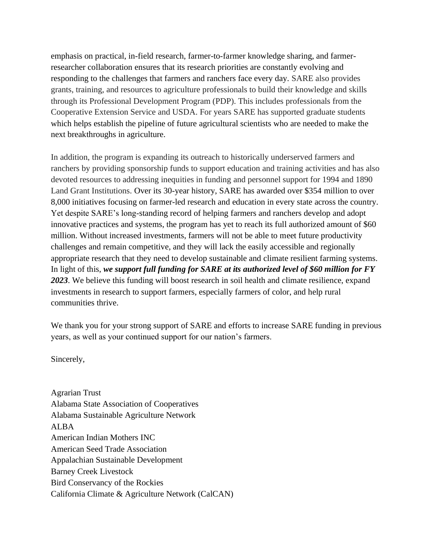emphasis on practical, in-field research, farmer-to-farmer knowledge sharing, and farmerresearcher collaboration ensures that its research priorities are constantly evolving and responding to the challenges that farmers and ranchers face every day. SARE also provides grants, training, and resources to agriculture professionals to build their knowledge and skills through its Professional Development Program (PDP). This includes professionals from the Cooperative Extension Service and USDA. For years SARE has supported graduate students which helps establish the pipeline of future agricultural scientists who are needed to make the next breakthroughs in agriculture.

In addition, the program is expanding its outreach to historically underserved farmers and ranchers by providing sponsorship funds to support education and training activities and has also devoted resources to addressing inequities in funding and personnel support for 1994 and 1890 Land Grant Institutions. Over its 30-year history, SARE has awarded over \$354 million to over 8,000 initiatives focusing on farmer-led research and education in every state across the country. Yet despite SARE's long-standing record of helping farmers and ranchers develop and adopt innovative practices and systems, the program has yet to reach its full authorized amount of \$60 million. Without increased investments, farmers will not be able to meet future productivity challenges and remain competitive, and they will lack the easily accessible and regionally appropriate research that they need to develop sustainable and climate resilient farming systems. In light of this, *we support full funding for SARE at its authorized level of \$60 million for FY 2023*. We believe this funding will boost research in soil health and climate resilience, expand investments in research to support farmers, especially farmers of color, and help rural communities thrive.

We thank you for your strong support of SARE and efforts to increase SARE funding in previous years, as well as your continued support for our nation's farmers.

Sincerely,

Agrarian Trust Alabama State Association of Cooperatives Alabama Sustainable Agriculture Network ALBA American Indian Mothers INC American Seed Trade Association Appalachian Sustainable Development Barney Creek Livestock Bird Conservancy of the Rockies California Climate & Agriculture Network (CalCAN)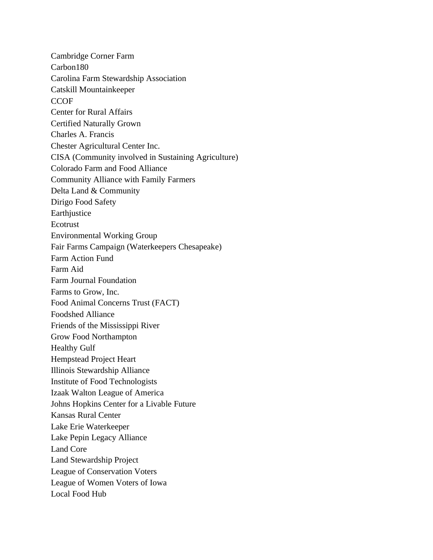Cambridge Corner Farm Carbon180 Carolina Farm Stewardship Association Catskill Mountainkeeper **CCOF** Center for Rural Affairs Certified Naturally Grown Charles A. Francis Chester Agricultural Center Inc. CISA (Community involved in Sustaining Agriculture) Colorado Farm and Food Alliance Community Alliance with Family Farmers Delta Land & Community Dirigo Food Safety Earthjustice Ecotrust Environmental Working Group Fair Farms Campaign (Waterkeepers Chesapeake) Farm Action Fund Farm Aid Farm Journal Foundation Farms to Grow, Inc. Food Animal Concerns Trust (FACT) Foodshed Alliance Friends of the Mississippi River Grow Food Northampton Healthy Gulf Hempstead Project Heart Illinois Stewardship Alliance Institute of Food Technologists Izaak Walton League of America Johns Hopkins Center for a Livable Future Kansas Rural Center Lake Erie Waterkeeper Lake Pepin Legacy Alliance Land Core Land Stewardship Project League of Conservation Voters League of Women Voters of Iowa Local Food Hub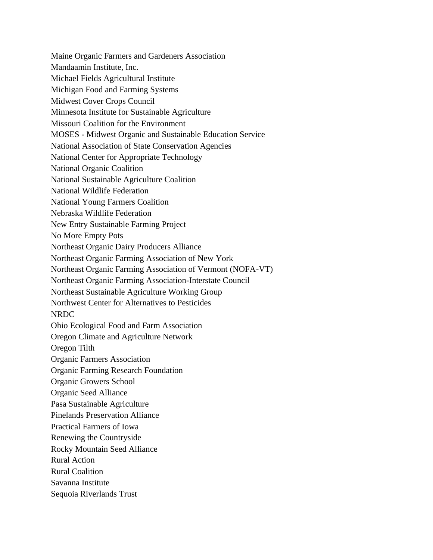Maine Organic Farmers and Gardeners Association Mandaamin Institute, Inc. Michael Fields Agricultural Institute Michigan Food and Farming Systems Midwest Cover Crops Council Minnesota Institute for Sustainable Agriculture Missouri Coalition for the Environment MOSES - Midwest Organic and Sustainable Education Service National Association of State Conservation Agencies National Center for Appropriate Technology National Organic Coalition National Sustainable Agriculture Coalition National Wildlife Federation National Young Farmers Coalition Nebraska Wildlife Federation New Entry Sustainable Farming Project No More Empty Pots Northeast Organic Dairy Producers Alliance Northeast Organic Farming Association of New York Northeast Organic Farming Association of Vermont (NOFA-VT) Northeast Organic Farming Association-Interstate Council Northeast Sustainable Agriculture Working Group Northwest Center for Alternatives to Pesticides NRDC Ohio Ecological Food and Farm Association Oregon Climate and Agriculture Network Oregon Tilth Organic Farmers Association Organic Farming Research Foundation Organic Growers School Organic Seed Alliance Pasa Sustainable Agriculture Pinelands Preservation Alliance Practical Farmers of Iowa Renewing the Countryside Rocky Mountain Seed Alliance Rural Action Rural Coalition Savanna Institute Sequoia Riverlands Trust